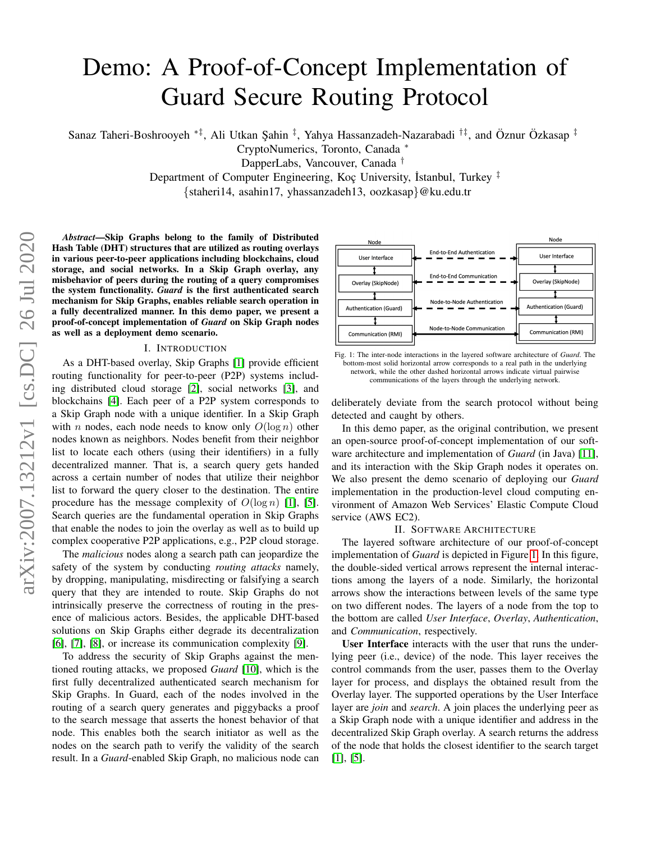# Demo: A Proof-of-Concept Implementation of Guard Secure Routing Protocol

Sanaz Taheri-Boshrooyeh \*<sup>‡</sup>, Ali Utkan Şahin <sup>‡</sup>, Yahya Hassanzadeh-Nazarabadi <sup>†‡</sup>, and Öznur Özkasap <sup>‡</sup>

CryptoNumerics, Toronto, Canada <sup>∗</sup>

DapperLabs, Vancouver, Canada †

Department of Computer Engineering, Koc University, Istanbul, Turkey  $\frac{1}{\tau}$ 

{staheri14, asahin17, yhassanzadeh13, oozkasap}@ku.edu.tr

*Abstract*—Skip Graphs belong to the family of Distributed Hash Table (DHT) structures that are utilized as routing overlays in various peer-to-peer applications including blockchains, cloud storage, and social networks. In a Skip Graph overlay, any misbehavior of peers during the routing of a query compromises the system functionality. *Guard* is the first authenticated search mechanism for Skip Graphs, enables reliable search operation in a fully decentralized manner. In this demo paper, we present a proof-of-concept implementation of *Guard* on Skip Graph nodes as well as a deployment demo scenario.

#### I. INTRODUCTION

As a DHT-based overlay, Skip Graphs [\[1\]](#page-2-0) provide efficient routing functionality for peer-to-peer (P2P) systems including distributed cloud storage [\[2\]](#page-2-1), social networks [\[3\]](#page-2-2), and blockchains [\[4\]](#page-2-3). Each peer of a P2P system corresponds to a Skip Graph node with a unique identifier. In a Skip Graph with n nodes, each node needs to know only  $O(\log n)$  other nodes known as neighbors. Nodes benefit from their neighbor list to locate each others (using their identifiers) in a fully decentralized manner. That is, a search query gets handed across a certain number of nodes that utilize their neighbor list to forward the query closer to the destination. The entire procedure has the message complexity of  $O(\log n)$  [\[1\]](#page-2-0), [\[5\]](#page-2-4). Search queries are the fundamental operation in Skip Graphs that enable the nodes to join the overlay as well as to build up complex cooperative P2P applications, e.g., P2P cloud storage.

The *malicious* nodes along a search path can jeopardize the safety of the system by conducting *routing attacks* namely, by dropping, manipulating, misdirecting or falsifying a search query that they are intended to route. Skip Graphs do not intrinsically preserve the correctness of routing in the presence of malicious actors. Besides, the applicable DHT-based solutions on Skip Graphs either degrade its decentralization [\[6\]](#page-2-5), [\[7\]](#page-2-6), [\[8\]](#page-2-7), or increase its communication complexity [\[9\]](#page-2-8).

To address the security of Skip Graphs against the mentioned routing attacks, we proposed *Guard* [\[10\]](#page-2-9), which is the first fully decentralized authenticated search mechanism for Skip Graphs. In Guard, each of the nodes involved in the routing of a search query generates and piggybacks a proof to the search message that asserts the honest behavior of that node. This enables both the search initiator as well as the nodes on the search path to verify the validity of the search result. In a *Guard*-enabled Skip Graph, no malicious node can

<span id="page-0-0"></span>

Fig. 1: The inter-node interactions in the layered software architecture of *Guard*. The bottom-most solid horizontal arrow corresponds to a real path in the underlying network, while the other dashed horizontal arrows indicate virtual pairwise communications of the layers through the underlying network.

deliberately deviate from the search protocol without being detected and caught by others.

In this demo paper, as the original contribution, we present an open-source proof-of-concept implementation of our software architecture and implementation of *Guard* (in Java) [\[11\]](#page-2-10), and its interaction with the Skip Graph nodes it operates on. We also present the demo scenario of deploying our *Guard* implementation in the production-level cloud computing environment of Amazon Web Services' Elastic Compute Cloud service (AWS EC2).

### II. SOFTWARE ARCHITECTURE

The layered software architecture of our proof-of-concept implementation of *Guard* is depicted in Figure [1.](#page-0-0) In this figure, the double-sided vertical arrows represent the internal interactions among the layers of a node. Similarly, the horizontal arrows show the interactions between levels of the same type on two different nodes. The layers of a node from the top to the bottom are called *User Interface*, *Overlay*, *Authentication*, and *Communication*, respectively.

User Interface interacts with the user that runs the underlying peer (i.e., device) of the node. This layer receives the control commands from the user, passes them to the Overlay layer for process, and displays the obtained result from the Overlay layer. The supported operations by the User Interface layer are *join* and *search*. A join places the underlying peer as a Skip Graph node with a unique identifier and address in the decentralized Skip Graph overlay. A search returns the address of the node that holds the closest identifier to the search target [\[1\]](#page-2-0), [\[5\]](#page-2-4).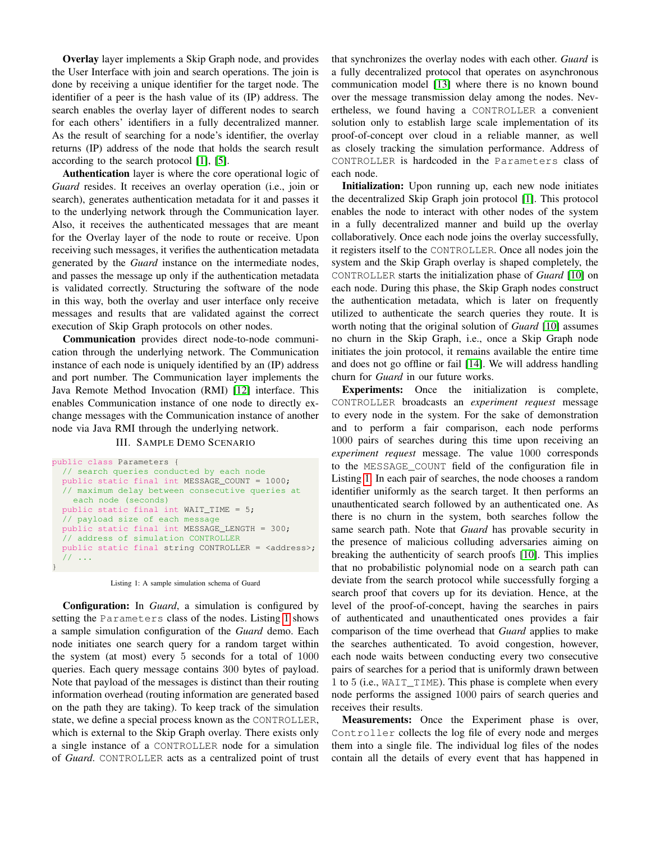Overlay layer implements a Skip Graph node, and provides the User Interface with join and search operations. The join is done by receiving a unique identifier for the target node. The identifier of a peer is the hash value of its (IP) address. The search enables the overlay layer of different nodes to search for each others' identifiers in a fully decentralized manner. As the result of searching for a node's identifier, the overlay returns (IP) address of the node that holds the search result according to the search protocol [\[1\]](#page-2-0), [\[5\]](#page-2-4).

Authentication layer is where the core operational logic of *Guard* resides. It receives an overlay operation (i.e., join or search), generates authentication metadata for it and passes it to the underlying network through the Communication layer. Also, it receives the authenticated messages that are meant for the Overlay layer of the node to route or receive. Upon receiving such messages, it verifies the authentication metadata generated by the *Guard* instance on the intermediate nodes, and passes the message up only if the authentication metadata is validated correctly. Structuring the software of the node in this way, both the overlay and user interface only receive messages and results that are validated against the correct execution of Skip Graph protocols on other nodes.

Communication provides direct node-to-node communication through the underlying network. The Communication instance of each node is uniquely identified by an (IP) address and port number. The Communication layer implements the Java Remote Method Invocation (RMI) [\[12\]](#page-2-11) interface. This enables Communication instance of one node to directly exchange messages with the Communication instance of another node via Java RMI through the underlying network.

## III. SAMPLE DEMO SCENARIO

```
public class Parameters {
  // search queries conducted by each node
 public static final int MESSAGE COUNT = 1000;
  // maximum delay between consecutive queries at
    each node (seconds)
 public static final int WAIT_TIME = 5;
 // payload size of each message
 public static final int MESSAGE_LENGTH = 300;
  // address of simulation CONTROLLER
 public static final string CONTROLLER = <address>;
  // ...
}
```
Listing 1: A sample simulation schema of Guard

Configuration: In *Guard*, a simulation is configured by setting the Parameters class of the nodes. Listing [1](#page-1-0) shows a sample simulation configuration of the *Guard* demo. Each node initiates one search query for a random target within the system (at most) every 5 seconds for a total of 1000 queries. Each query message contains 300 bytes of payload. Note that payload of the messages is distinct than their routing information overhead (routing information are generated based on the path they are taking). To keep track of the simulation state, we define a special process known as the CONTROLLER, which is external to the Skip Graph overlay. There exists only a single instance of a CONTROLLER node for a simulation of *Guard*. CONTROLLER acts as a centralized point of trust that synchronizes the overlay nodes with each other. *Guard* is a fully decentralized protocol that operates on asynchronous communication model [\[13\]](#page-2-12) where there is no known bound over the message transmission delay among the nodes. Nevertheless, we found having a CONTROLLER a convenient solution only to establish large scale implementation of its proof-of-concept over cloud in a reliable manner, as well as closely tracking the simulation performance. Address of CONTROLLER is hardcoded in the Parameters class of each node.

Initialization: Upon running up, each new node initiates the decentralized Skip Graph join protocol [\[1\]](#page-2-0). This protocol enables the node to interact with other nodes of the system in a fully decentralized manner and build up the overlay collaboratively. Once each node joins the overlay successfully, it registers itself to the CONTROLLER. Once all nodes join the system and the Skip Graph overlay is shaped completely, the CONTROLLER starts the initialization phase of *Guard* [\[10\]](#page-2-9) on each node. During this phase, the Skip Graph nodes construct the authentication metadata, which is later on frequently utilized to authenticate the search queries they route. It is worth noting that the original solution of *Guard* [\[10\]](#page-2-9) assumes no churn in the Skip Graph, i.e., once a Skip Graph node initiates the join protocol, it remains available the entire time and does not go offline or fail [\[14\]](#page-2-13). We will address handling churn for *Guard* in our future works.

Experiments: Once the initialization is complete, CONTROLLER broadcasts an *experiment request* message to every node in the system. For the sake of demonstration and to perform a fair comparison, each node performs 1000 pairs of searches during this time upon receiving an *experiment request* message. The value 1000 corresponds to the MESSAGE\_COUNT field of the configuration file in Listing [1.](#page-1-0) In each pair of searches, the node chooses a random identifier uniformly as the search target. It then performs an unauthenticated search followed by an authenticated one. As there is no churn in the system, both searches follow the same search path. Note that *Guard* has provable security in the presence of malicious colluding adversaries aiming on breaking the authenticity of search proofs [\[10\]](#page-2-9). This implies that no probabilistic polynomial node on a search path can deviate from the search protocol while successfully forging a search proof that covers up for its deviation. Hence, at the level of the proof-of-concept, having the searches in pairs of authenticated and unauthenticated ones provides a fair comparison of the time overhead that *Guard* applies to make the searches authenticated. To avoid congestion, however, each node waits between conducting every two consecutive pairs of searches for a period that is uniformly drawn between 1 to 5 (i.e., WAIT\_TIME). This phase is complete when every node performs the assigned 1000 pairs of search queries and receives their results.

Measurements: Once the Experiment phase is over, Controller collects the log file of every node and merges them into a single file. The individual log files of the nodes contain all the details of every event that has happened in